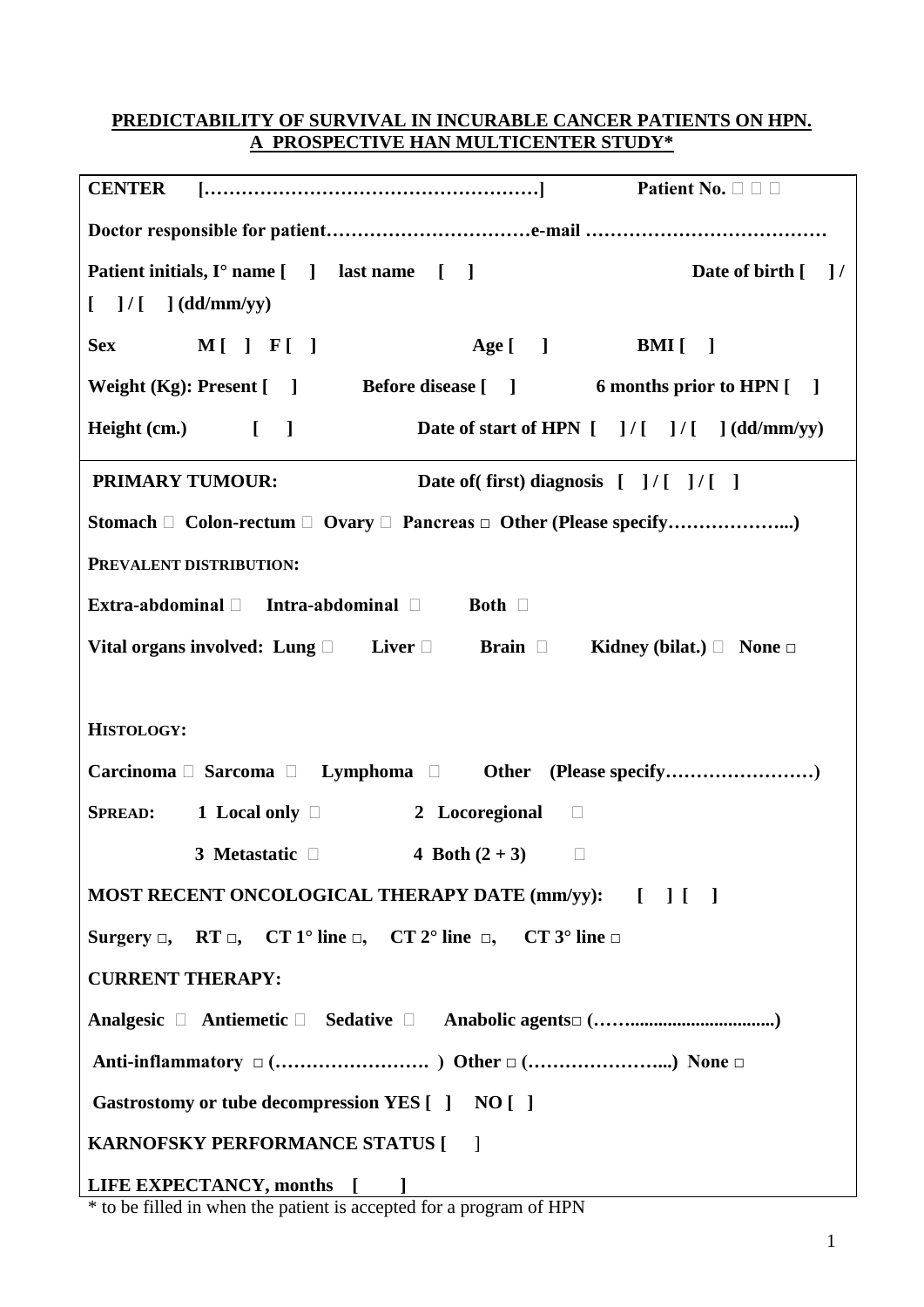## **PREDICTABILITY OF SURVIVAL IN INCURABLE CANCER PATIENTS ON HPN. A PROSPECTIVE HAN MULTICENTER STUDY\***

| <b>CENTER</b>                                                                                        |
|------------------------------------------------------------------------------------------------------|
|                                                                                                      |
| Patient initials, I° name [ ] last name [ ]<br>Date of birth [ ] /                                   |
| $\begin{bmatrix} 1 \end{bmatrix}$ / $\begin{bmatrix} 1 \end{bmatrix}$ (dd/mm/yy)                     |
| Age [ ] BMI [ ]<br><b>Sex</b><br>$M[\ ]F[\ ]$                                                        |
| Weight (Kg): Present [ ] Before disease [ ] 6 months prior to HPN [ ]                                |
| $Height (cm.)$ [ ]<br>Date of start of HPN $[$ ]/ $[$ ]/ $[$ ](dd/mm/yy)                             |
| <b>PRIMARY TUMOUR:</b><br>Date of (first) diagnosis [ ]/[ ]/[ ]                                      |
|                                                                                                      |
| PREVALENT DISTRIBUTION:                                                                              |
| Extra-abdominal $\Box$ Intra-abdominal $\Box$ Both $\Box$                                            |
| Vital organs involved: Lung $\Box$ Liver $\Box$ Brain $\Box$ Kidney (bilat.) $\Box$ None $\Box$      |
|                                                                                                      |
| <b>HISTOLOGY:</b>                                                                                    |
| Carcinoma □ Sarcoma □ Lymphoma □ Other (Please specify)                                              |
| <b>SPREAD:</b> 1 Local only $\Box$<br>2 Locoregional $\Box$                                          |
| 3 Metastatic $\Box$<br>4 Both $(2 + 3)$<br>$\Box$                                                    |
| MOST RECENT ONCOLOGICAL THERAPY DATE (mm/yy): [ ] [ ]                                                |
| Surgery $\Box$ , RT $\Box$ , CT 1° line $\Box$ , CT 2° line $\Box$ , CT 3° line $\Box$               |
| <b>CURRENT THERAPY:</b>                                                                              |
|                                                                                                      |
|                                                                                                      |
| Gastrostomy or tube decompression YES [ ] NO [ ]                                                     |
| <b>KARNOFSKY PERFORMANCE STATUS [</b><br>$\Box$                                                      |
|                                                                                                      |
| LIFE EXPECTANCY, months [100]<br>* to be filled in when the patient is accorted for a program of HDM |

\* to be filled in when the patient is accepted for a program of HPN